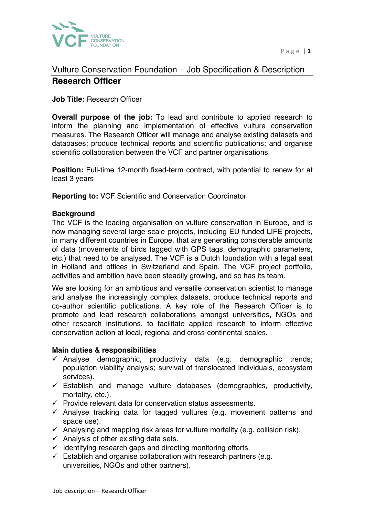

# Vulture Conservation Foundation – Job Specification & Description **Research Officer**

## **Job Title:** Research Officer

**Overall purpose of the job:** To lead and contribute to applied research to inform the planning and implementation of effective vulture conservation measures. The Research Officer will manage and analyse existing datasets and databases; produce technical reports and scientific publications; and organise scientific collaboration between the VCF and partner organisations.

**Position:** Full-time 12-month fixed-term contract, with potential to renew for at least 3 years

**Reporting to:** VCF Scientific and Conservation Coordinator

### **Background**

The VCF is the leading organisation on vulture conservation in Europe, and is now managing several large-scale projects, including EU-funded LIFE projects, in many different countries in Europe, that are generating considerable amounts of data (movements of birds tagged with GPS tags, demographic parameters, etc.) that need to be analysed. The VCF is a Dutch foundation with a legal seat in Holland and offices in Switzerland and Spain. The VCF project portfolio, activities and ambition have been steadily growing, and so has its team.

We are looking for an ambitious and versatile conservation scientist to manage and analyse the increasingly complex datasets, produce technical reports and co-author scientific publications. A key role of the Research Officer is to promote and lead research collaborations amongst universities, NGOs and other research institutions, to facilitate applied research to inform effective conservation action at local, regional and cross-continental scales.

#### **Main duties & responsibilities**

- $\checkmark$  Analyse demographic, productivity data (e.g. demographic trends; population viability analysis; survival of translocated individuals, ecosystem services).
- $\checkmark$  Establish and manage vulture databases (demographics, productivity, mortality, etc.).
- $\checkmark$  Provide relevant data for conservation status assessments.
- $\checkmark$  Analyse tracking data for tagged vultures (e.g. movement patterns and space use).
- $\checkmark$  Analysing and mapping risk areas for vulture mortality (e.g. collision risk).
- $\checkmark$  Analysis of other existing data sets.
- $\checkmark$  Identifying research gaps and directing monitoring efforts.
- $\checkmark$  Establish and organise collaboration with research partners (e.g. universities, NGOs and other partners).